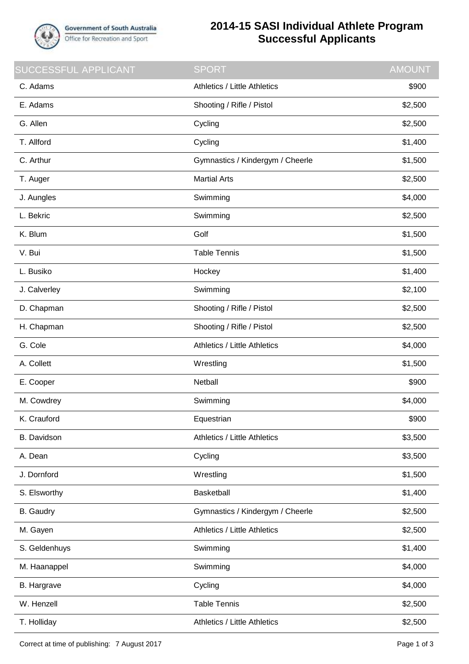

## **2014-15 SASI Individual Athlete Program Successful Applicants**

| <b>SUCCESSFUL APPLICANT</b> | <b>SPORT</b>                        | <b>AMOUNT</b> |
|-----------------------------|-------------------------------------|---------------|
| C. Adams                    | <b>Athletics / Little Athletics</b> | \$900         |
| E. Adams                    | Shooting / Rifle / Pistol           | \$2,500       |
| G. Allen                    | Cycling                             | \$2,500       |
| T. Allford                  | Cycling                             | \$1,400       |
| C. Arthur                   | Gymnastics / Kindergym / Cheerle    | \$1,500       |
| T. Auger                    | <b>Martial Arts</b>                 | \$2,500       |
| J. Aungles                  | Swimming                            | \$4,000       |
| L. Bekric                   | Swimming                            | \$2,500       |
| K. Blum                     | Golf                                | \$1,500       |
| V. Bui                      | <b>Table Tennis</b>                 | \$1,500       |
| L. Busiko                   | Hockey                              | \$1,400       |
| J. Calverley                | Swimming                            | \$2,100       |
| D. Chapman                  | Shooting / Rifle / Pistol           | \$2,500       |
| H. Chapman                  | Shooting / Rifle / Pistol           | \$2,500       |
| G. Cole                     | Athletics / Little Athletics        | \$4,000       |
| A. Collett                  | Wrestling                           | \$1,500       |
| E. Cooper                   | Netball                             | \$900         |
| M. Cowdrey                  | Swimming                            | \$4,000       |
| K. Crauford                 | Equestrian                          | \$900         |
| B. Davidson                 | <b>Athletics / Little Athletics</b> | \$3,500       |
| A. Dean                     | Cycling                             | \$3,500       |
| J. Dornford                 | Wrestling                           | \$1,500       |
| S. Elsworthy                | Basketball                          | \$1,400       |
| <b>B.</b> Gaudry            | Gymnastics / Kindergym / Cheerle    | \$2,500       |
| M. Gayen                    | <b>Athletics / Little Athletics</b> | \$2,500       |
| S. Geldenhuys               | Swimming                            | \$1,400       |
| M. Haanappel                | Swimming                            | \$4,000       |
| B. Hargrave                 | Cycling                             | \$4,000       |
| W. Henzell                  | <b>Table Tennis</b>                 | \$2,500       |
| T. Holliday                 | Athletics / Little Athletics        | \$2,500       |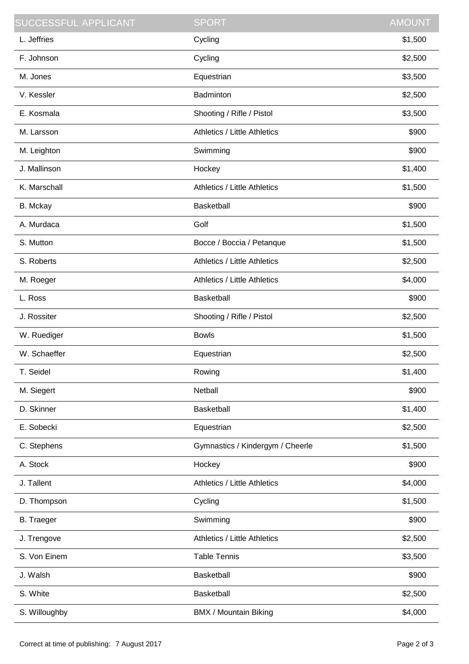| <b>SUCCESSFUL APPLICANT</b> | <b>SPORT</b>                        | <b>AMOUNT</b> |
|-----------------------------|-------------------------------------|---------------|
| L. Jeffries                 | Cycling                             | \$1,500       |
| F. Johnson                  | Cycling                             | \$2,500       |
| M. Jones                    | Equestrian                          | \$3,500       |
| V. Kessler                  | Badminton                           | \$2,500       |
| E. Kosmala                  | Shooting / Rifle / Pistol           | \$3,500       |
| M. Larsson                  | Athletics / Little Athletics        | \$900         |
| M. Leighton                 | Swimming                            | \$900         |
| J. Mallinson                | Hockey                              | \$1,400       |
| K. Marschall                | <b>Athletics / Little Athletics</b> | \$1,500       |
| B. Mckay                    | Basketball                          | \$900         |
| A. Murdaca                  | Golf                                | \$1,500       |
| S. Mutton                   | Bocce / Boccia / Petanque           | \$1,500       |
| S. Roberts                  | Athletics / Little Athletics        | \$2,500       |
| M. Roeger                   | <b>Athletics / Little Athletics</b> | \$4,000       |
| L. Ross                     | <b>Basketball</b>                   | \$900         |
| J. Rossiter                 | Shooting / Rifle / Pistol           | \$2,500       |
| W. Ruediger                 | <b>Bowls</b>                        | \$1,500       |
| W. Schaeffer                | Equestrian                          | \$2,500       |
| T. Seidel                   | Rowing                              | \$1,400       |
| M. Siegert                  | Netball                             | \$900         |
| D. Skinner                  | Basketball                          | \$1,400       |
| E. Sobecki                  | Equestrian                          | \$2,500       |
| C. Stephens                 | Gymnastics / Kindergym / Cheerle    | \$1,500       |
| A. Stock                    | Hockey                              | \$900         |
| J. Tallent                  | <b>Athletics / Little Athletics</b> | \$4,000       |
| D. Thompson                 | Cycling                             | \$1,500       |
| <b>B.</b> Traeger           | Swimming                            | \$900         |
| J. Trengove                 | <b>Athletics / Little Athletics</b> | \$2,500       |
| S. Von Einem                | <b>Table Tennis</b>                 | \$3,500       |
| J. Walsh                    | <b>Basketball</b>                   | \$900         |
| S. White                    | <b>Basketball</b>                   | \$2,500       |
| S. Willoughby               | BMX / Mountain Biking               | \$4,000       |